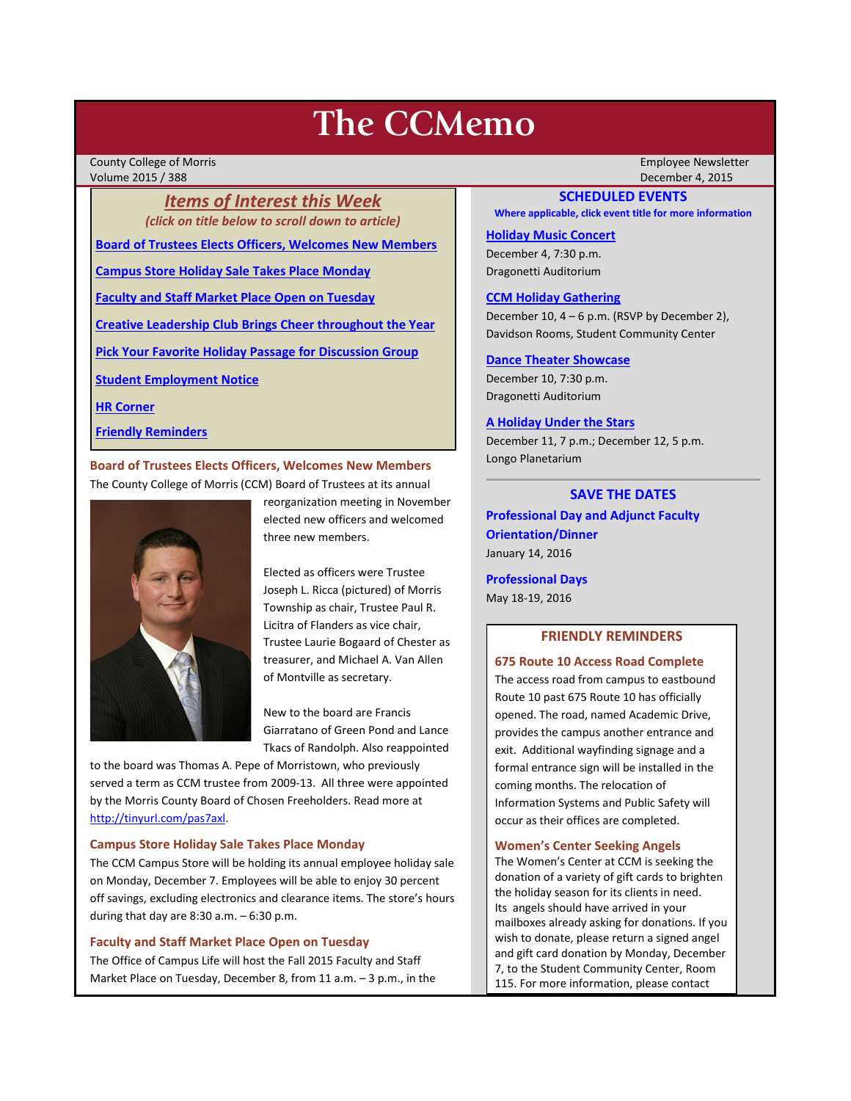# **The CCMemo**

County College of Morris Employee Newsletter Volume 2015 / 388 December 4, 2015

*Items of Interest this Week (click on title below to scroll down to article)*

**[Board of Trustees Elects Officers, Welcomes New Members](#page-0-0)**

**[Campus Store Holiday Sale Takes Place Monday](#page-0-1)**

**[Faculty and Staff Market Place Open on Tuesday](#page-0-2)**

**[Creative Leadership Club Brings Cheer throughout the Year](#page-1-0)**

**[Pick Your Favorite Holiday Passage for Discussion Group](#page-1-1)**

**[Student Employment Notice](#page-2-0)**

**[HR Corner](#page-2-1)**

**[Friendly Reminders](#page-0-3)**

<span id="page-0-0"></span>**Board of Trustees Elects Officers, Welcomes New Members** The County College of Morris (CCM) Board of Trustees at its annual



reorganization meeting in November elected new officers and welcomed three new members.

Elected as officers were Trustee Joseph L. Ricca (pictured) of Morris Township as chair, Trustee Paul R. Licitra of Flanders as vice chair, Trustee Laurie Bogaard of Chester as treasurer, and Michael A. Van Allen of Montville as secretary.

New to the board are Francis Giarratano of Green Pond and Lance Tkacs of Randolph. Also reappointed

to the board was Thomas A. Pepe of Morristown, who previously served a term as CCM trustee from 2009-13. All three were appointed by the Morris County Board of Chosen Freeholders. Read more at [http://tinyurl.com/pas7axl.](http://tinyurl.com/pas7axl)

### <span id="page-0-1"></span>**Campus Store Holiday Sale Takes Place Monday**

The CCM Campus Store will be holding its annual employee holiday sale on Monday, December 7. Employees will be able to enjoy 30 percent off savings, excluding electronics and clearance items. The store's hours during that day are 8:30 a.m. – 6:30 p.m.

## <span id="page-0-2"></span>**Faculty and Staff Market Place Open on Tuesday**

The Office of Campus Life will host the Fall 2015 Faculty and Staff Market Place on Tuesday, December 8, from 11 a.m. – 3 p.m., in the

### **SCHEDULED EVENTS**

**Where applicable, click event title for more information**

#### **[Holiday Music Concert](http://www.ccm.edu/newsEvents/eventDetails.aspx?Channel=/Channels/Sitewide&WorkflowItemID=02c46595-9701-4af4-8db9-674663ebc3e0)**

December 4, 7:30 p.m. Dragonetti Auditorium

## **[CCM Holiday Gathering](http://www3.ccm.edu/ccmemo/images/holiday_gathering_2015.pdf)**

December 10, 4 – 6 p.m. (RSVP by December 2), Davidson Rooms, Student Community Center

#### **[Dance Theater Showcase](http://www.ccm.edu/newsEvents/eventDetails.aspx?Channel=/Channels/Sitewide&WorkflowItemID=5d8168d5-ba9f-4e18-85a7-0da01b6a67f1)**

December 10, 7:30 p.m. Dragonetti Auditorium

## **[A Holiday Under the Stars](http://www.ccm.edu/newsEvents/eventDetails.aspx?Channel=/Channels/Sitewide&WorkflowItemID=33f45ee9-5e7c-4835-b2d6-c900facd707d)**

December 11, 7 p.m.; December 12, 5 p.m. Longo Planetarium

## **SAVE THE DATES**

**Professional Day and Adjunct Faculty Orientation/Dinner** January 14, 2016

**Professional Days** May 18-19, 2016

## **FRIENDLY REMINDERS**

## <span id="page-0-3"></span>**675 Route 10 Access Road Complete**

The access road from campus to eastbound Route 10 past 675 Route 10 has officially opened. The road, named Academic Drive, provides the campus another entrance and exit. Additional wayfinding signage and a formal entrance sign will be installed in the coming months. The relocation of Information Systems and Public Safety will occur as their offices are completed.

#### **Women's Center Seeking Angels**

The Women's Center at CCM is seeking the donation of a variety of gift cards to brighten the holiday season for its clients in need. Its angels should have arrived in your mailboxes already asking for donations. If you wish to donate, please return a signed angel and gift card donation by Monday, December 7, to the Student Community Center, Room 115. For more information, please contact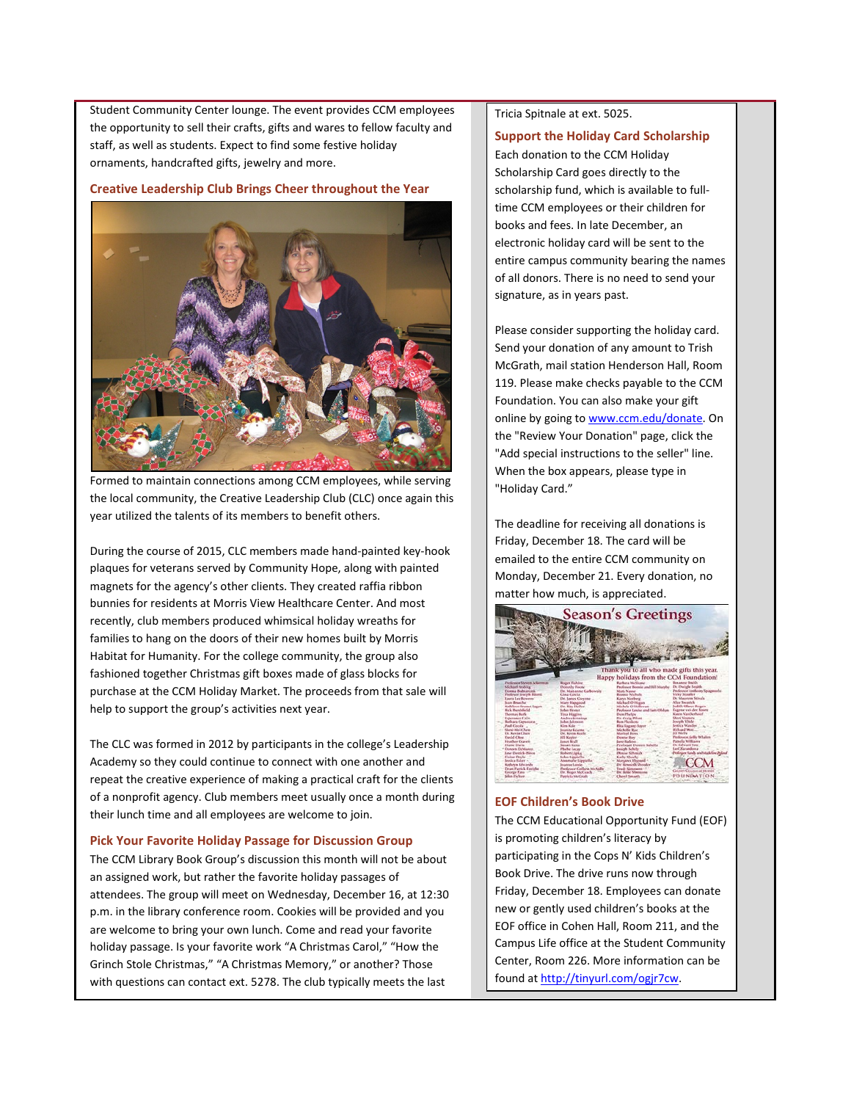Student Community Center lounge. The event provides CCM employees the opportunity to sell their crafts, gifts and wares to fellow faculty and staff, as well as students. Expect to find some festive holiday ornaments, handcrafted gifts, jewelry and more.

#### <span id="page-1-0"></span>**Creative Leadership Club Brings Cheer throughout the Year**



Formed to maintain connections among CCM employees, while serving the local community, the Creative Leadership Club (CLC) once again this year utilized the talents of its members to benefit others.

During the course of 2015, CLC members made hand-painted key-hook plaques for veterans served by Community Hope, along with painted magnets for the agency's other clients. They created raffia ribbon bunnies for residents at Morris View Healthcare Center. And most recently, club members produced whimsical holiday wreaths for families to hang on the doors of their new homes built by Morris Habitat for Humanity. For the college community, the group also fashioned together Christmas gift boxes made of glass blocks for purchase at the CCM Holiday Market. The proceeds from that sale will help to support the group's activities next year.

The CLC was formed in 2012 by participants in the college's Leadership Academy so they could continue to connect with one another and repeat the creative experience of making a practical craft for the clients of a nonprofit agency. Club members meet usually once a month during their lunch time and all employees are welcome to join.

#### <span id="page-1-1"></span>**Pick Your Favorite Holiday Passage for Discussion Group**

The CCM Library Book Group's discussion this month will not be about an assigned work, but rather the favorite holiday passages of attendees. The group will meet on Wednesday, December 16, at 12:30 p.m. in the library conference room. Cookies will be provided and you are welcome to bring your own lunch. Come and read your favorite holiday passage. Is your favorite work "A Christmas Carol," "How the Grinch Stole Christmas," "A Christmas Memory," or another? Those with questions can contact ext. 5278. The club typically meets the last

Tricia Spitnale at ext. 5025.

## **Support the Holiday Card Scholarship**

Each donation to the CCM Holiday Scholarship Card goes directly to the scholarship fund, which is available to fulltime CCM employees or their children for books and fees. In late December, an electronic holiday card will be sent to the entire campus community bearing the names of all donors. There is no need to send your signature, as in years past.

Please consider supporting the holiday card. Send your donation of any amount to Trish McGrath, mail station Henderson Hall, Room 119. Please make checks payable to the CCM Foundation. You can also make your gift online by going t[o www.ccm.edu/donate.](http://www.ccm.edu/donate) On the "Review Your Donation" page, click the "Add special instructions to the seller" line. When the box appears, please type in "Holiday Card."

The deadline for receiving all donations is Friday, December 18. The card will be emailed to the entire CCM community on Monday, December 21. Every donation, no matter how much, is appreciated.



#### **EOF Children's Book Drive**

The CCM Educational Opportunity Fund (EOF) is promoting children's literacy by participating in the Cops N' Kids Children's Book Drive. The drive runs now through Friday, December 18. Employees can donate new or gently used children's books at the EOF office in Cohen Hall, Room 211, and the Campus Life office at the Student Community Center, Room 226. More information can be found a[t http://tinyurl.com/ogjr7cw.](http://tinyurl.com/ogjr7cw)